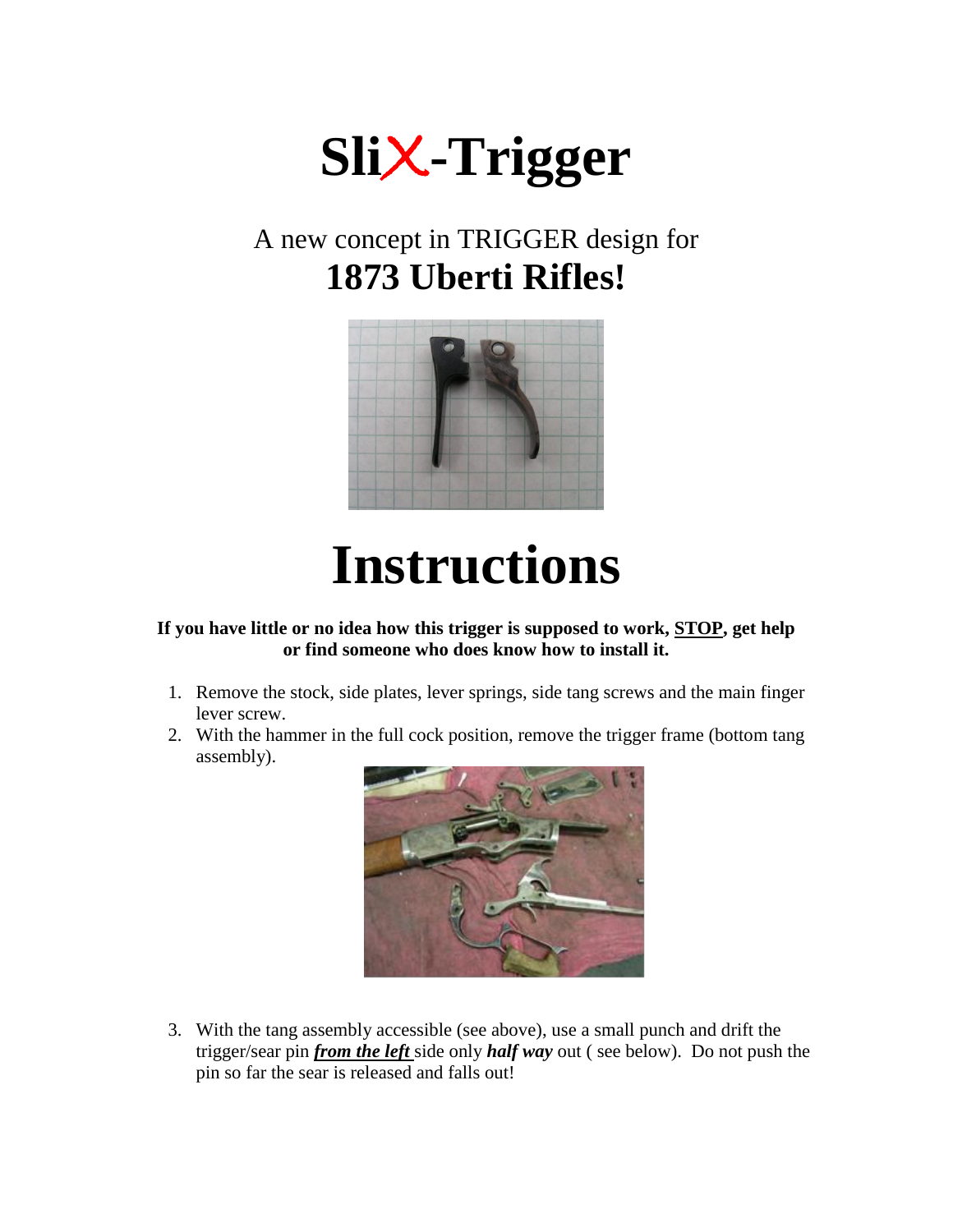

## A new concept in TRIGGER design for **1873 Uberti Rifles!**



## **Instructions**

**If you have little or no idea how this trigger is supposed to work, STOP, get help or find someone who does know how to install it.** 

- 1. Remove the stock, side plates, lever springs, side tang screws and the main finger lever screw.
- 2. With the hammer in the full cock position, remove the trigger frame (bottom tang assembly).



3. With the tang assembly accessible (see above), use a small punch and drift the trigger/sear pin *from the left* side only *half way* out ( see below). Do not push the pin so far the sear is released and falls out!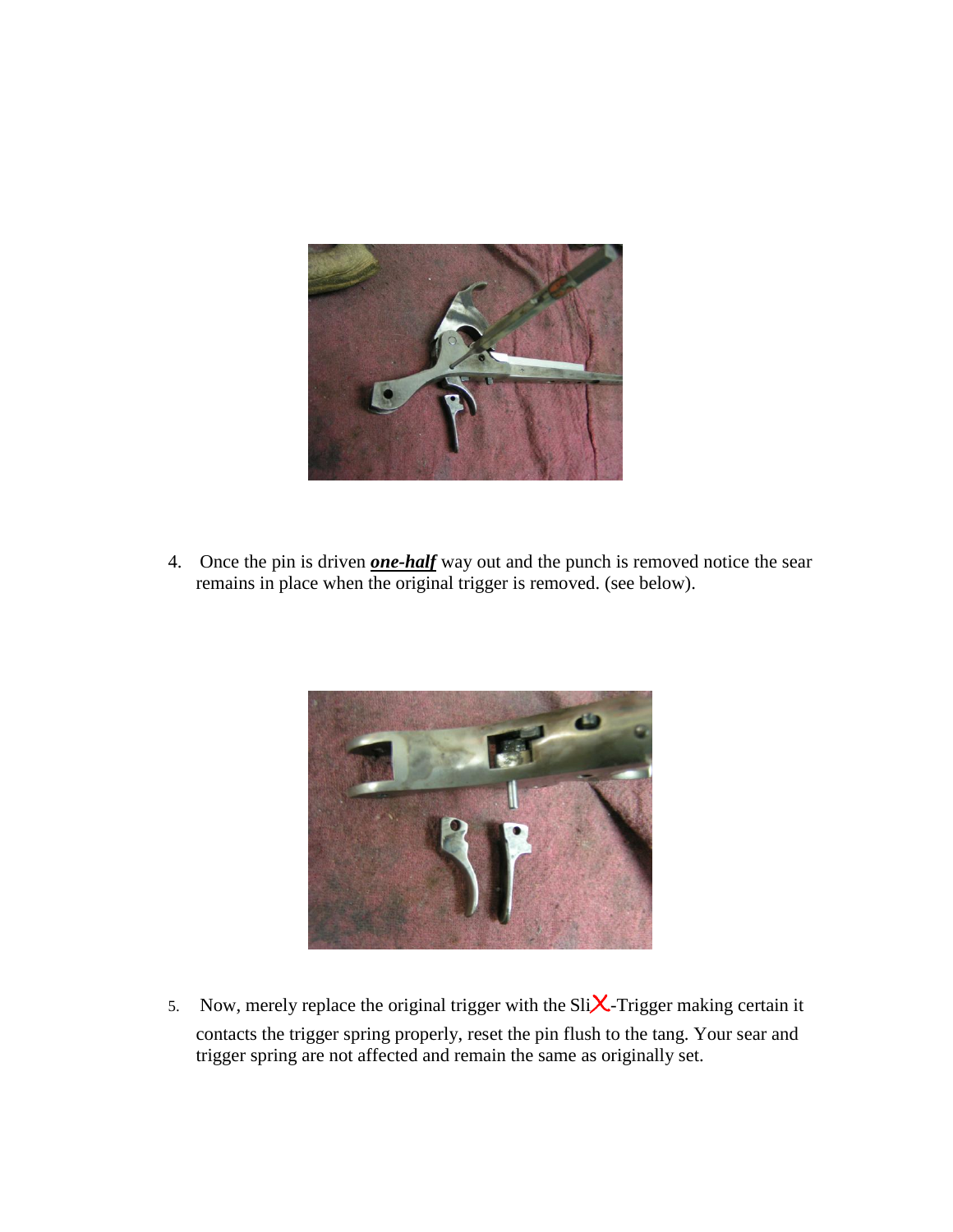

4. Once the pin is driven *one-half* way out and the punch is removed notice the sear remains in place when the original trigger is removed. (see below).



5. Now, merely replace the original trigger with the Sli $X$ -Trigger making certain it contacts the trigger spring properly, reset the pin flush to the tang. Your sear and trigger spring are not affected and remain the same as originally set.